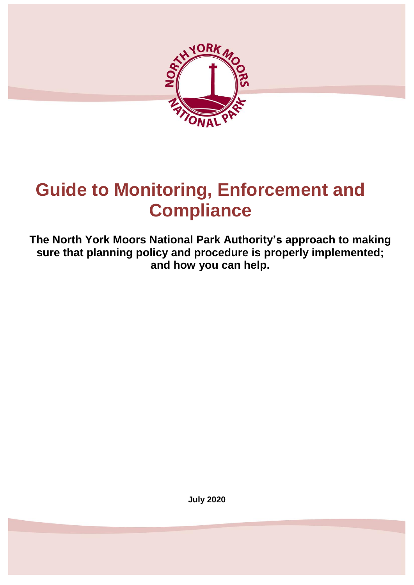

# **Guide to Monitoring, Enforcement and Compliance**

**The North York Moors National Park Authority's approach to making sure that planning policy and procedure is properly implemented; and how you can help.**

**July 2020**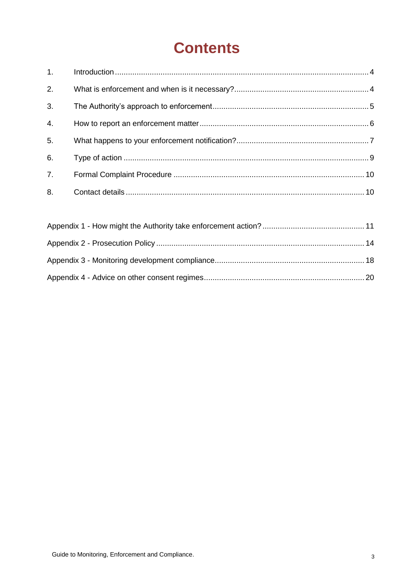# **Contents**

| 1.               |  |
|------------------|--|
| 2.               |  |
| 3.               |  |
| $\overline{4}$ . |  |
| 5.               |  |
| 6.               |  |
| 7.               |  |
| 8.               |  |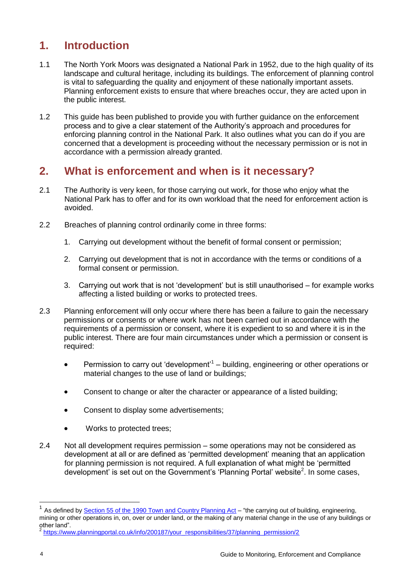# <span id="page-3-0"></span>**1. Introduction**

- 1.1 The North York Moors was designated a National Park in 1952, due to the high quality of its landscape and cultural heritage, including its buildings. The enforcement of planning control is vital to safeguarding the quality and enjoyment of these nationally important assets. Planning enforcement exists to ensure that where breaches occur, they are acted upon in the public interest.
- 1.2 This guide has been published to provide you with further guidance on the enforcement process and to give a clear statement of the Authority's approach and procedures for enforcing planning control in the National Park. It also outlines what you can do if you are concerned that a development is proceeding without the necessary permission or is not in accordance with a permission already granted.

# <span id="page-3-1"></span>**2. What is enforcement and when is it necessary?**

- 2.1 The Authority is very keen, for those carrying out work, for those who enjoy what the National Park has to offer and for its own workload that the need for enforcement action is avoided.
- 2.2 Breaches of planning control ordinarily come in three forms:
	- 1. Carrying out development without the benefit of formal consent or permission;
	- 2. Carrying out development that is not in accordance with the terms or conditions of a formal consent or permission.
	- 3. Carrying out work that is not 'development' but is still unauthorised for example works affecting a listed building or works to protected trees.
- 2.3 Planning enforcement will only occur where there has been a failure to gain the necessary permissions or consents or where work has not been carried out in accordance with the requirements of a permission or consent, where it is expedient to so and where it is in the public interest. There are four main circumstances under which a permission or consent is required:
	- **Permission to carry out 'development'**  $-$  building, engineering or other operations or material changes to the use of land or buildings;
	- Consent to change or alter the character or appearance of a listed building;
	- Consent to display some advertisements:
	- Works to protected trees:
- 2.4 Not all development requires permission some operations may not be considered as development at all or are defined as 'permitted development' meaning that an application for planning permission is not required. A full explanation of what might be 'permitted development' is set out on the Government's 'Planning Portal' website<sup>2</sup>. In some cases,

-

<sup>1</sup> As defined b[y Section 55 of the 1990 Town and Country Planning Act](http://www.legislation.gov.uk/ukpga/1990/8/section/55) – "the carrying out of building, engineering, mining or other operations in, on, over or under land, or the making of any material change in the use of any buildings or other land".

<sup>2</sup> [https://www.planningportal.co.uk/info/200187/your\\_responsibilities/37/planning\\_permission/2](https://www.planningportal.co.uk/info/200187/your_responsibilities/37/planning_permission/2)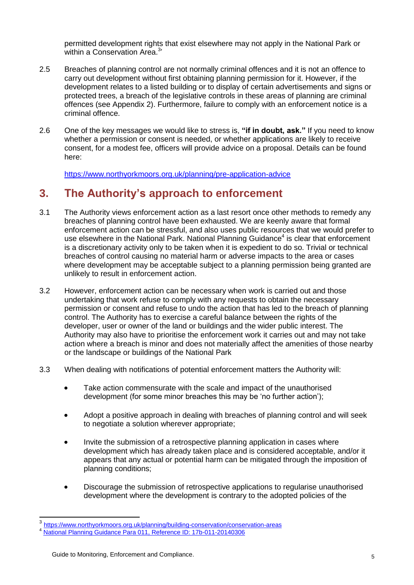permitted development rights that exist elsewhere may not apply in the National Park or within a Conservation Area.<sup>3</sup>

- 2.5 Breaches of planning control are not normally criminal offences and it is not an offence to carry out development without first obtaining planning permission for it. However, if the development relates to a listed building or to display of certain advertisements and signs or protected trees, a breach of the legislative controls in these areas of planning are criminal offences (see Appendix 2). Furthermore, failure to comply with an enforcement notice is a criminal offence.
- 2.6 One of the key messages we would like to stress is, **"if in doubt, ask."** If you need to know whether a permission or consent is needed, or whether applications are likely to receive consent, for a modest fee, officers will provide advice on a proposal. Details can be found here:

<https://www.northyorkmoors.org.uk/planning/pre-application-advice>

# <span id="page-4-0"></span>**3. The Authority's approach to enforcement**

- 3.1 The Authority views enforcement action as a last resort once other methods to remedy any breaches of planning control have been exhausted. We are keenly aware that formal enforcement action can be stressful, and also uses public resources that we would prefer to use elsewhere in the National Park. National Planning Guidance<sup>4</sup> is clear that enforcement is a discretionary activity only to be taken when it is expedient to do so. Trivial or technical breaches of control causing no material harm or adverse impacts to the area or cases where development may be acceptable subject to a planning permission being granted are unlikely to result in enforcement action.
- 3.2 However, enforcement action can be necessary when work is carried out and those undertaking that work refuse to comply with any requests to obtain the necessary permission or consent and refuse to undo the action that has led to the breach of planning control. The Authority has to exercise a careful balance between the rights of the developer, user or owner of the land or buildings and the wider public interest. The Authority may also have to prioritise the enforcement work it carries out and may not take action where a breach is minor and does not materially affect the amenities of those nearby or the landscape or buildings of the National Park
- 3.3 When dealing with notifications of potential enforcement matters the Authority will:
	- Take action commensurate with the scale and impact of the unauthorised development (for some minor breaches this may be 'no further action');
	- Adopt a positive approach in dealing with breaches of planning control and will seek to negotiate a solution wherever appropriate;
	- Invite the submission of a retrospective planning application in cases where development which has already taken place and is considered acceptable, and/or it appears that any actual or potential harm can be mitigated through the imposition of planning conditions;
	- Discourage the submission of retrospective applications to regularise unauthorised development where the development is contrary to the adopted policies of the

 $\frac{1}{3}$ <https://www.northyorkmoors.org.uk/planning/building-conservation/conservation-areas>

[National Planning Guidance Para 011, Reference ID: 17b-011-20140306](https://www.gov.uk/guidance/ensuring-effective-enforcement#planning-enforcement--overview)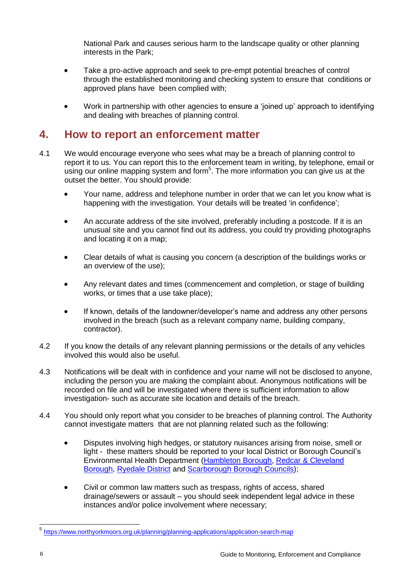National Park and causes serious harm to the landscape quality or other planning interests in the Park;

- Take a pro-active approach and seek to pre-empt potential breaches of control through the established monitoring and checking system to ensure that conditions or approved plans have been complied with;
- Work in partnership with other agencies to ensure a 'joined up' approach to identifying and dealing with breaches of planning control.

# <span id="page-5-0"></span>**4. How to report an enforcement matter**

- 4.1 We would encourage everyone who sees what may be a breach of planning control to report it to us. You can report this to the enforcement team in writing, by telephone, email or using our online mapping system and form<sup>5</sup>. The more information you can give us at the outset the better. You should provide:
	- Your name, address and telephone number in order that we can let you know what is happening with the investigation. Your details will be treated 'in confidence';
	- An accurate address of the site involved, preferably including a postcode. If it is an unusual site and you cannot find out its address, you could try providing photographs and locating it on a map;
	- Clear details of what is causing you concern (a description of the buildings works or an overview of the use);
	- Any relevant dates and times (commencement and completion, or stage of building works, or times that a use take place);
	- If known, details of the landowner/developer's name and address any other persons involved in the breach (such as a relevant company name, building company, contractor).
- 4.2 If you know the details of any relevant planning permissions or the details of any vehicles involved this would also be useful.
- 4.3 Notifications will be dealt with in confidence and your name will not be disclosed to anyone, including the person you are making the complaint about. Anonymous notifications will be recorded on file and will be investigated where there is sufficient information to allow investigation- such as accurate site location and details of the breach.
- 4.4 You should only report what you consider to be breaches of planning control. The Authority cannot investigate matters that are not planning related such as the following:
	- Disputes involving high hedges, or statutory nuisances arising from noise, smell or light - these matters should be reported to your local District or Borough Council's Environmental Health Department [\(Hambleton](https://hambletondc-self.achieveservice.com/service/Environmental_health_issue_report) Borough, [Redcar & Cleveland](https://www.redcar-cleveland.gov.uk/business/health-and-safety/environmentalhealth/Pages/environmental-health.aspx) [Borough,](https://www.redcar-cleveland.gov.uk/business/health-and-safety/environmentalhealth/Pages/environmental-health.aspx) [Ryedale](https://www.ryedale.gov.uk/environment.html) District and Scarborough [Borough Councils\)](https://www.scarborough.gov.uk/home/environment);
	- Civil or common law matters such as trespass, rights of access, shared drainage/sewers or assault – you should seek independent legal advice in these instances and/or police involvement where necessary;

 5 <https://www.northyorkmoors.org.uk/planning/planning-applications/application-search-map>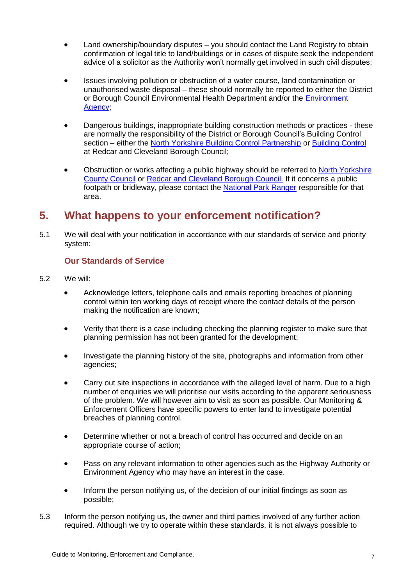- Land ownership/boundary disputes you should contact the Land Registry to obtain confirmation of legal title to land/buildings or in cases of dispute seek the independent advice of a solicitor as the Authority won't normally get involved in such civil disputes;
- Issues involving pollution or obstruction of a water course, land contamination or unauthorised waste disposal – these should normally be reported to either the District or Borough Council Environmental Health Department and/or the Environment [Agency;](https://www.gov.uk/report-an-environmental-incident)
- Dangerous buildings, inappropriate building construction methods or practices these are normally the responsibility of the District or Borough Council's Building Control section – either the [North Yorkshire Building Control Partnership](https://www.nybcp.org/contact) or [Building Control](https://www.redcar-cleveland.gov.uk/resident/planning-and-building/building-control/Pages/Contact-the-Building-Control-Team.aspx) at Redcar and Cleveland Borough Council;
- Obstruction or works affecting a public highway should be referred to [North Yorkshire](https://www.northyorks.gov.uk/road-obstructions-and-spillages)  [County Council](https://www.northyorks.gov.uk/road-obstructions-and-spillages) or [Redcar and Cleveland Borough Council.](https://www.redcar-cleveland.gov.uk/resident/contact-us/Pages/How-To-Contact-Us.aspx) If it concerns a public footpath or bridleway, please contact the [National Park Ranger](https://www.northyorkmoors.org.uk/about-us/how-the-authority-works/the-staff/rangers-areas) responsible for that area.

# <span id="page-6-0"></span>**5. What happens to your enforcement notification?**

5.1 We will deal with your notification in accordance with our standards of service and priority system:

# **Our Standards of Service**

- 5.2 We will:
	- Acknowledge letters, telephone calls and emails reporting breaches of planning control within ten working days of receipt where the contact details of the person making the notification are known;
	- Verify that there is a case including checking the planning register to make sure that planning permission has not been granted for the development;
	- Investigate the planning history of the site, photographs and information from other agencies;
	- Carry out site inspections in accordance with the alleged level of harm. Due to a high number of enquiries we will prioritise our visits according to the apparent seriousness of the problem. We will however aim to visit as soon as possible. Our Monitoring & Enforcement Officers have specific powers to enter land to investigate potential breaches of planning control.
	- Determine whether or not a breach of control has occurred and decide on an appropriate course of action;
	- Pass on any relevant information to other agencies such as the Highway Authority or Environment Agency who may have an interest in the case.
	- Inform the person notifying us, of the decision of our initial findings as soon as possible;
- 5.3 Inform the person notifying us, the owner and third parties involved of any further action required. Although we try to operate within these standards, it is not always possible to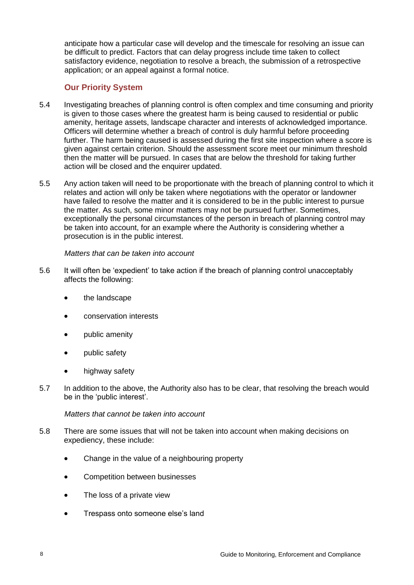anticipate how a particular case will develop and the timescale for resolving an issue can be difficult to predict. Factors that can delay progress include time taken to collect satisfactory evidence, negotiation to resolve a breach, the submission of a retrospective application; or an appeal against a formal notice.

# **Our Priority System**

- 5.4 Investigating breaches of planning control is often complex and time consuming and priority is given to those cases where the greatest harm is being caused to residential or public amenity, heritage assets, landscape character and interests of acknowledged importance. Officers will determine whether a breach of control is duly harmful before proceeding further. The harm being caused is assessed during the first site inspection where a score is given against certain criterion. Should the assessment score meet our minimum threshold then the matter will be pursued. In cases that are below the threshold for taking further action will be closed and the enquirer updated.
- 5.5 Any action taken will need to be proportionate with the breach of planning control to which it relates and action will only be taken where negotiations with the operator or landowner have failed to resolve the matter and it is considered to be in the public interest to pursue the matter. As such, some minor matters may not be pursued further. Sometimes, exceptionally the personal circumstances of the person in breach of planning control may be taken into account, for an example where the Authority is considering whether a prosecution is in the public interest.

#### *Matters that can be taken into account*

- 5.6 It will often be 'expedient' to take action if the breach of planning control unacceptably affects the following:
	- the landscape
	- conservation interests
	- public amenity
	- public safety
	- highway safety
- 5.7 In addition to the above, the Authority also has to be clear, that resolving the breach would be in the 'public interest'.

#### *Matters that cannot be taken into account*

- 5.8 There are some issues that will not be taken into account when making decisions on expediency, these include:
	- Change in the value of a neighbouring property
	- Competition between businesses
	- The loss of a private view
	- Trespass onto someone else's land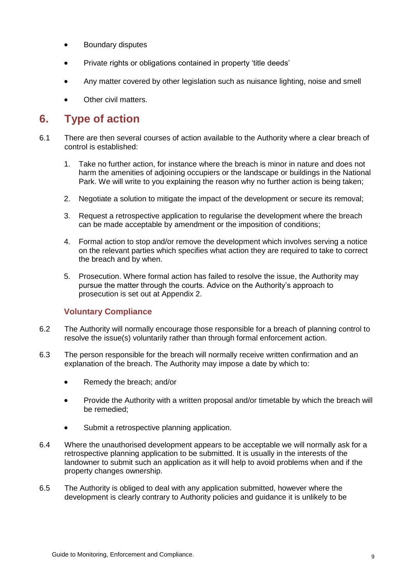- Boundary disputes
- Private rights or obligations contained in property 'title deeds'
- Any matter covered by other legislation such as nuisance lighting, noise and smell
- Other civil matters.

# <span id="page-8-0"></span>**6. Type of action**

- 6.1 There are then several courses of action available to the Authority where a clear breach of control is established:
	- 1. Take no further action, for instance where the breach is minor in nature and does not harm the amenities of adjoining occupiers or the landscape or buildings in the National Park. We will write to you explaining the reason why no further action is being taken;
	- 2. Negotiate a solution to mitigate the impact of the development or secure its removal;
	- 3. Request a retrospective application to regularise the development where the breach can be made acceptable by amendment or the imposition of conditions;
	- 4. Formal action to stop and/or remove the development which involves serving a notice on the relevant parties which specifies what action they are required to take to correct the breach and by when.
	- 5. Prosecution. Where formal action has failed to resolve the issue, the Authority may pursue the matter through the courts. Advice on the Authority's approach to prosecution is set out at Appendix 2.

## **Voluntary Compliance**

- 6.2 The Authority will normally encourage those responsible for a breach of planning control to resolve the issue(s) voluntarily rather than through formal enforcement action.
- 6.3 The person responsible for the breach will normally receive written confirmation and an explanation of the breach. The Authority may impose a date by which to:
	- Remedy the breach: and/or
	- Provide the Authority with a written proposal and/or timetable by which the breach will be remedied;
	- Submit a retrospective planning application.
- 6.4 Where the unauthorised development appears to be acceptable we will normally ask for a retrospective planning application to be submitted. It is usually in the interests of the landowner to submit such an application as it will help to avoid problems when and if the property changes ownership.
- 6.5 The Authority is obliged to deal with any application submitted, however where the development is clearly contrary to Authority policies and guidance it is unlikely to be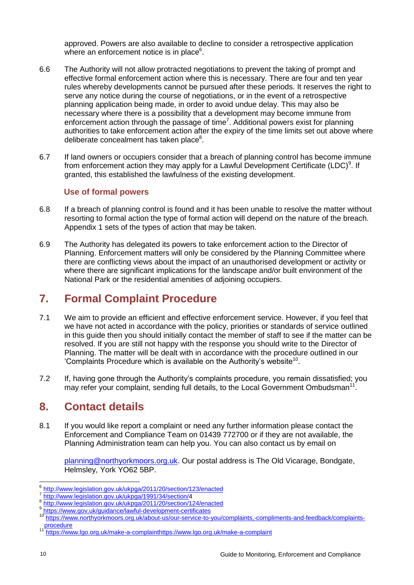approved. Powers are also available to decline to consider a retrospective application where an enforcement notice is in place<sup>6</sup>.

- 6.6 The Authority will not allow protracted negotiations to prevent the taking of prompt and effective formal enforcement action where this is necessary. There are four and ten year rules whereby developments cannot be pursued after these periods. It reserves the right to serve any notice during the course of negotiations, or in the event of a retrospective planning application being made, in order to avoid undue delay. This may also be necessary where there is a possibility that a development may become immune from enforcement action through the passage of time<sup>7</sup>. Additional powers exist for planning authorities to take enforcement action after the expiry of the time limits set out above where deliberate concealment has taken place<sup>8</sup>.
- 6.7 If land owners or occupiers consider that a breach of planning control has become immune from enforcement action they may apply for a Lawful Development Certificate (LDC)<sup>9</sup>. If granted, this established the lawfulness of the existing development.

## **Use of formal powers**

- 6.8 If a breach of planning control is found and it has been unable to resolve the matter without resorting to formal action the type of formal action will depend on the nature of the breach. Appendix 1 sets of the types of action that may be taken.
- 6.9 The Authority has delegated its powers to take enforcement action to the Director of Planning. Enforcement matters will only be considered by the Planning Committee where there are conflicting views about the impact of an unauthorised development or activity or where there are significant implications for the landscape and/or built environment of the National Park or the residential amenities of adjoining occupiers.

# <span id="page-9-0"></span>**7. Formal Complaint Procedure**

- 7.1 We aim to provide an efficient and effective enforcement service. However, if you feel that we have not acted in accordance with the policy, priorities or standards of service outlined in this guide then you should initially contact the member of staff to see if the matter can be resolved. If you are still not happy with the response you should write to the Director of Planning. The matter will be dealt with in accordance with the procedure outlined in our 'Complaints Procedure which is available on the Authority's website<sup>10</sup>.
- 7.2 If, having gone through the Authority's complaints procedure, you remain dissatisfied; you may refer your complaint, sending full details, to the Local Government Ombudsman<sup>11</sup>.

# <span id="page-9-1"></span>**8. Contact details**

8.1 If you would like report a complaint or need any further information please contact the Enforcement and Compliance Team on 01439 772700 or if they are not available, the Planning Administration team can help you. You can also contact us by email on

[planning@northyorkmoors.org.uk.](mailto:planning@northyorkmoors.org.uk) Our postal address is The Old Vicarage, Bondgate, Helmsley, York YO62 5BP.

<sup>-</sup>6 <http://www.legislation.gov.uk/ukpga/2011/20/section/123/enacted>

<sup>7</sup> [http://www.legislation.gov.uk/ukpga/1991/34/section/4](http://www.legislation.gov.uk/ukpga/1991/34/section/)

<sup>8</sup> <http://www.legislation.gov.uk/ukpga/2011/20/section/124/enacted>

<sup>9</sup> <https://www.gov.uk/guidance/lawful-development-certificates>

<sup>10</sup> [https://www.northyorkmoors.org.uk/about-us/our-service-to-you/complaints,-compliments-and-feedback/complaints](https://www.northyorkmoors.org.uk/about-us/our-service-to-you/complaints,-compliments-and-feedback/complaints-procedure)[procedure](https://www.northyorkmoors.org.uk/about-us/our-service-to-you/complaints,-compliments-and-feedback/complaints-procedure)

[https://www.lgo.org.uk/make-a-complainth](https://www.lgo.org.uk/make-a-complaint)ttps://www.lgo.org.uk/make-a-complaint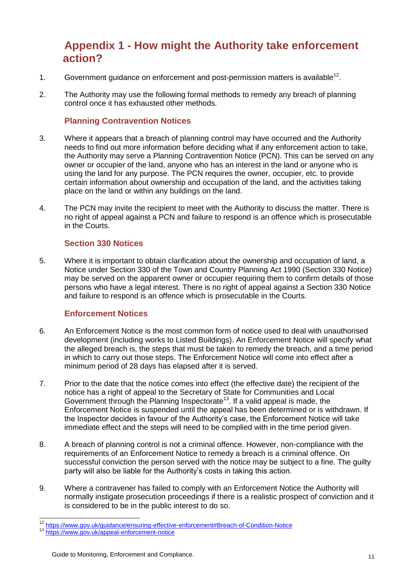# <span id="page-10-0"></span>**Appendix 1 - How might the Authority take enforcement action?**

- 1. Government guidance on enforcement and post-permission matters is available<sup>12</sup>.
- 2. The Authority may use the following formal methods to remedy any breach of planning control once it has exhausted other methods.

## **Planning Contravention Notices**

- 3. Where it appears that a breach of planning control may have occurred and the Authority needs to find out more information before deciding what if any enforcement action to take, the Authority may serve a Planning Contravention Notice (PCN). This can be served on any owner or occupier of the land, anyone who has an interest in the land or anyone who is using the land for any purpose. The PCN requires the owner, occupier, etc. to provide certain information about ownership and occupation of the land, and the activities taking place on the land or within any buildings on the land.
- 4. The PCN may invite the recipient to meet with the Authority to discuss the matter. There is no right of appeal against a PCN and failure to respond is an offence which is prosecutable in the Courts.

## **Section 330 Notices**

5. Where it is important to obtain clarification about the ownership and occupation of land, a Notice under Section 330 of the Town and Country Planning Act 1990 (Section 330 Notice) may be served on the apparent owner or occupier requiring them to confirm details of those persons who have a legal interest. There is no right of appeal against a Section 330 Notice and failure to respond is an offence which is prosecutable in the Courts.

## **Enforcement Notices**

- 6. An Enforcement Notice is the most common form of notice used to deal with unauthorised development (including works to Listed Buildings). An Enforcement Notice will specify what the alleged breach is, the steps that must be taken to remedy the breach, and a time period in which to carry out those steps. The Enforcement Notice will come into effect after a minimum period of 28 days has elapsed after it is served.
- 7. Prior to the date that the notice comes into effect (the effective date) the recipient of the notice has a right of appeal to the Secretary of State for Communities and Local Government through the Planning Inspectorate<sup>13</sup>. If a valid appeal is made, the Enforcement Notice is suspended until the appeal has been determined or is withdrawn. If the Inspector decides in favour of the Authority's case, the Enforcement Notice will take immediate effect and the steps will need to be complied with in the time period given.
- 8. A breach of planning control is not a criminal offence. However, non-compliance with the requirements of an Enforcement Notice to remedy a breach is a criminal offence. On successful conviction the person served with the notice may be subject to a fine. The guilty party will also be liable for the Authority's costs in taking this action.
- 9. Where a contravener has failed to comply with an Enforcement Notice the Authority will normally instigate prosecution proceedings if there is a realistic prospect of conviction and it is considered to be in the public interest to do so.

 $\overline{1}$ <sup>12</sup> <https://www.gov.uk/guidance/ensuring-effective-enforcement#Breach-of-Condition-Notice>

<sup>13</sup> <https://www.gov.uk/appeal-enforcement-notice>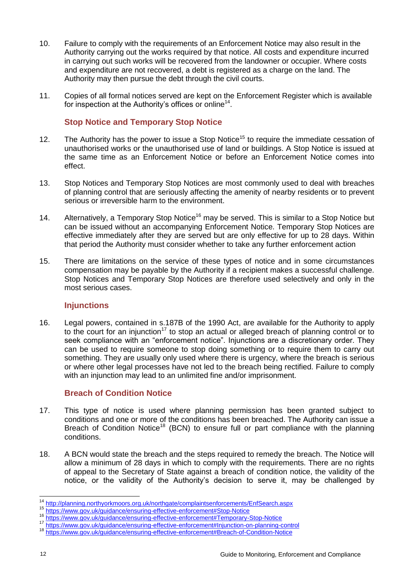- 10. Failure to comply with the requirements of an Enforcement Notice may also result in the Authority carrying out the works required by that notice. All costs and expenditure incurred in carrying out such works will be recovered from the landowner or occupier. Where costs and expenditure are not recovered, a debt is registered as a charge on the land. The Authority may then pursue the debt through the civil courts.
- 11. Copies of all formal notices served are kept on the Enforcement Register which is available for inspection at the Authority's offices or online<sup>14</sup>.

#### **Stop Notice and Temporary Stop Notice**

- 12. The Authority has the power to issue a Stop Notice<sup>15</sup> to require the immediate cessation of unauthorised works or the unauthorised use of land or buildings. A Stop Notice is issued at the same time as an Enforcement Notice or before an Enforcement Notice comes into effect.
- 13. Stop Notices and Temporary Stop Notices are most commonly used to deal with breaches of planning control that are seriously affecting the amenity of nearby residents or to prevent serious or irreversible harm to the environment.
- 14. Alternatively, a Temporary Stop Notice<sup>16</sup> may be served. This is similar to a Stop Notice but can be issued without an accompanying Enforcement Notice. Temporary Stop Notices are effective immediately after they are served but are only effective for up to 28 days. Within that period the Authority must consider whether to take any further enforcement action
- 15. There are limitations on the service of these types of notice and in some circumstances compensation may be payable by the Authority if a recipient makes a successful challenge. Stop Notices and Temporary Stop Notices are therefore used selectively and only in the most serious cases.

#### **Injunctions**

16. Legal powers, contained in s.187B of the 1990 Act, are available for the Authority to apply to the court for an injunction<sup>17</sup> to stop an actual or alleged breach of planning control or to seek compliance with an "enforcement notice". Injunctions are a discretionary order. They can be used to require someone to stop doing something or to require them to carry out something. They are usually only used where there is urgency, where the breach is serious or where other legal processes have not led to the breach being rectified. Failure to comply with an injunction may lead to an unlimited fine and/or imprisonment.

#### **Breach of Condition Notice**

- 17. This type of notice is used where planning permission has been granted subject to conditions and one or more of the conditions has been breached. The Authority can issue a Breach of Condition Notice<sup>18</sup> (BCN) to ensure full or part compliance with the planning conditions.
- 18. A BCN would state the breach and the steps required to remedy the breach. The Notice will allow a minimum of 28 days in which to comply with the requirements. There are no rights of appeal to the Secretary of State against a breach of condition notice, the validity of the notice, or the validity of the Authority's decision to serve it, may be challenged by

 $\overline{1}$ 

<sup>&</sup>lt;sup>14</sup> <http://planning.northyorkmoors.org.uk/northgate/complaintsenforcements/EnfSearch.aspx>

<sup>15</sup> <https://www.gov.uk/guidance/ensuring-effective-enforcement#Stop-Notice>

<sup>16</sup> <https://www.gov.uk/guidance/ensuring-effective-enforcement#Temporary-Stop-Notice>

<sup>17</sup> <https://www.gov.uk/guidance/ensuring-effective-enforcement#Injunction-on-planning-control>

<sup>18</sup> https://www.gov.uk/quidance/ensuring-effective-enforcement#Breach-of-Condition-Notice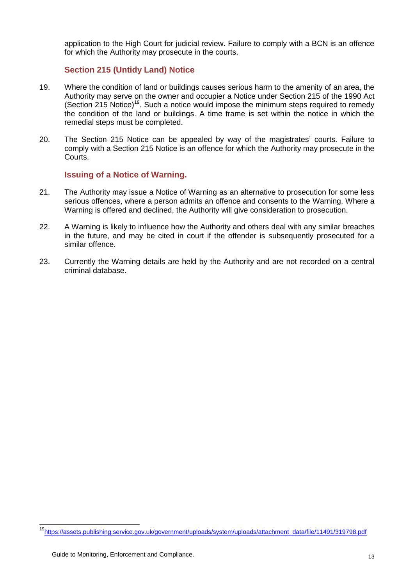application to the High Court for judicial review. Failure to comply with a BCN is an offence for which the Authority may prosecute in the courts.

## **Section 215 (Untidy Land) Notice**

- 19. Where the condition of land or buildings causes serious harm to the amenity of an area, the Authority may serve on the owner and occupier a Notice under Section 215 of the 1990 Act (Section 215 Notice)<sup>19</sup>. Such a notice would impose the minimum steps required to remedy the condition of the land or buildings. A time frame is set within the notice in which the remedial steps must be completed.
- 20. The Section 215 Notice can be appealed by way of the magistrates' courts. Failure to comply with a Section 215 Notice is an offence for which the Authority may prosecute in the Courts.

#### **Issuing of a Notice of Warning.**

- 21. The Authority may issue a Notice of Warning as an alternative to prosecution for some less serious offences, where a person admits an offence and consents to the Warning. Where a Warning is offered and declined, the Authority will give consideration to prosecution.
- 22. A Warning is likely to influence how the Authority and others deal with any similar breaches in the future, and may be cited in court if the offender is subsequently prosecuted for a similar offence.
- 23. Currently the Warning details are held by the Authority and are not recorded on a central criminal database.

-

<sup>19</sup>[https://assets.publishing.service.gov.uk/government/uploads/system/uploads/attachment\\_data/file/11491/319798.pdf](https://assets.publishing.service.gov.uk/government/uploads/system/uploads/attachment_data/file/11491/319798.pdf)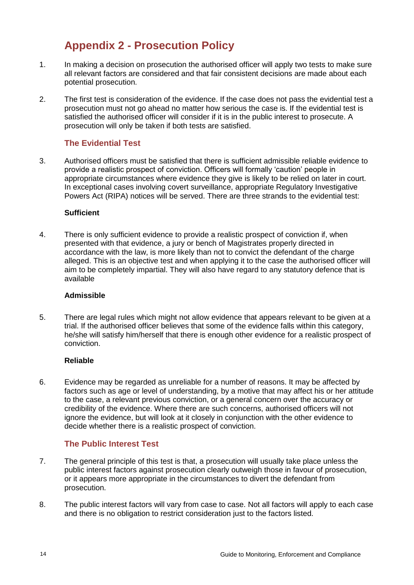# <span id="page-13-0"></span>**Appendix 2 - Prosecution Policy**

- 1. In making a decision on prosecution the authorised officer will apply two tests to make sure all relevant factors are considered and that fair consistent decisions are made about each potential prosecution.
- 2. The first test is consideration of the evidence. If the case does not pass the evidential test a prosecution must not go ahead no matter how serious the case is. If the evidential test is satisfied the authorised officer will consider if it is in the public interest to prosecute. A prosecution will only be taken if both tests are satisfied.

# **The Evidential Test**

3. Authorised officers must be satisfied that there is sufficient admissible reliable evidence to provide a realistic prospect of conviction. Officers will formally 'caution' people in appropriate circumstances where evidence they give is likely to be relied on later in court. In exceptional cases involving covert surveillance, appropriate Regulatory Investigative Powers Act (RIPA) notices will be served. There are three strands to the evidential test:

#### **Sufficient**

4. There is only sufficient evidence to provide a realistic prospect of conviction if, when presented with that evidence, a jury or bench of Magistrates properly directed in accordance with the law, is more likely than not to convict the defendant of the charge alleged. This is an objective test and when applying it to the case the authorised officer will aim to be completely impartial. They will also have regard to any statutory defence that is available

#### **Admissible**

5. There are legal rules which might not allow evidence that appears relevant to be given at a trial. If the authorised officer believes that some of the evidence falls within this category, he/she will satisfy him/herself that there is enough other evidence for a realistic prospect of conviction.

## **Reliable**

6. Evidence may be regarded as unreliable for a number of reasons. It may be affected by factors such as age or level of understanding, by a motive that may affect his or her attitude to the case, a relevant previous conviction, or a general concern over the accuracy or credibility of the evidence. Where there are such concerns, authorised officers will not ignore the evidence, but will look at it closely in conjunction with the other evidence to decide whether there is a realistic prospect of conviction.

## **The Public Interest Test**

- 7. The general principle of this test is that, a prosecution will usually take place unless the public interest factors against prosecution clearly outweigh those in favour of prosecution, or it appears more appropriate in the circumstances to divert the defendant from prosecution.
- 8. The public interest factors will vary from case to case. Not all factors will apply to each case and there is no obligation to restrict consideration just to the factors listed.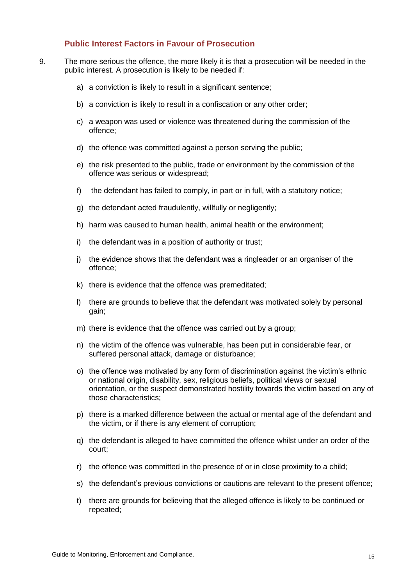#### **Public Interest Factors in Favour of Prosecution**

- 9. The more serious the offence, the more likely it is that a prosecution will be needed in the public interest. A prosecution is likely to be needed if:
	- a) a conviction is likely to result in a significant sentence;
	- b) a conviction is likely to result in a confiscation or any other order;
	- c) a weapon was used or violence was threatened during the commission of the offence;
	- d) the offence was committed against a person serving the public;
	- e) the risk presented to the public, trade or environment by the commission of the offence was serious or widespread;
	- f) the defendant has failed to comply, in part or in full, with a statutory notice;
	- g) the defendant acted fraudulently, willfully or negligently;
	- h) harm was caused to human health, animal health or the environment;
	- i) the defendant was in a position of authority or trust;
	- j) the evidence shows that the defendant was a ringleader or an organiser of the offence;
	- k) there is evidence that the offence was premeditated;
	- l) there are grounds to believe that the defendant was motivated solely by personal gain;
	- m) there is evidence that the offence was carried out by a group;
	- n) the victim of the offence was vulnerable, has been put in considerable fear, or suffered personal attack, damage or disturbance;
	- o) the offence was motivated by any form of discrimination against the victim's ethnic or national origin, disability, sex, religious beliefs, political views or sexual orientation, or the suspect demonstrated hostility towards the victim based on any of those characteristics;
	- p) there is a marked difference between the actual or mental age of the defendant and the victim, or if there is any element of corruption;
	- q) the defendant is alleged to have committed the offence whilst under an order of the court;
	- r) the offence was committed in the presence of or in close proximity to a child;
	- s) the defendant's previous convictions or cautions are relevant to the present offence;
	- t) there are grounds for believing that the alleged offence is likely to be continued or repeated;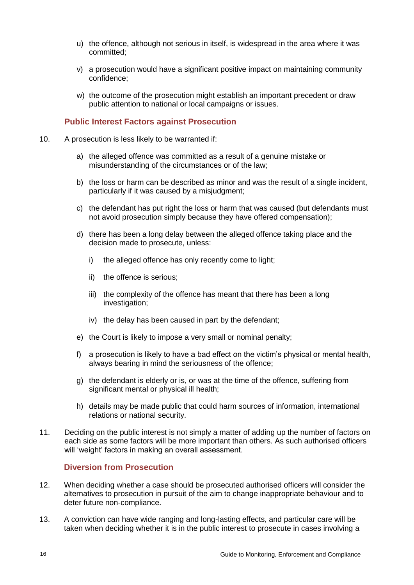- u) the offence, although not serious in itself, is widespread in the area where it was committed;
- v) a prosecution would have a significant positive impact on maintaining community confidence;
- w) the outcome of the prosecution might establish an important precedent or draw public attention to national or local campaigns or issues.

#### **Public Interest Factors against Prosecution**

- 10. A prosecution is less likely to be warranted if:
	- a) the alleged offence was committed as a result of a genuine mistake or misunderstanding of the circumstances or of the law;
	- b) the loss or harm can be described as minor and was the result of a single incident, particularly if it was caused by a misjudgment;
	- c) the defendant has put right the loss or harm that was caused (but defendants must not avoid prosecution simply because they have offered compensation);
	- d) there has been a long delay between the alleged offence taking place and the decision made to prosecute, unless:
		- i) the alleged offence has only recently come to light;
		- ii) the offence is serious;
		- iii) the complexity of the offence has meant that there has been a long investigation;
		- iv) the delay has been caused in part by the defendant;
	- e) the Court is likely to impose a very small or nominal penalty;
	- f) a prosecution is likely to have a bad effect on the victim's physical or mental health, always bearing in mind the seriousness of the offence;
	- g) the defendant is elderly or is, or was at the time of the offence, suffering from significant mental or physical ill health;
	- h) details may be made public that could harm sources of information, international relations or national security.
- 11. Deciding on the public interest is not simply a matter of adding up the number of factors on each side as some factors will be more important than others. As such authorised officers will 'weight' factors in making an overall assessment.

#### **Diversion from Prosecution**

- 12. When deciding whether a case should be prosecuted authorised officers will consider the alternatives to prosecution in pursuit of the aim to change inappropriate behaviour and to deter future non-compliance.
- 13. A conviction can have wide ranging and long-lasting effects, and particular care will be taken when deciding whether it is in the public interest to prosecute in cases involving a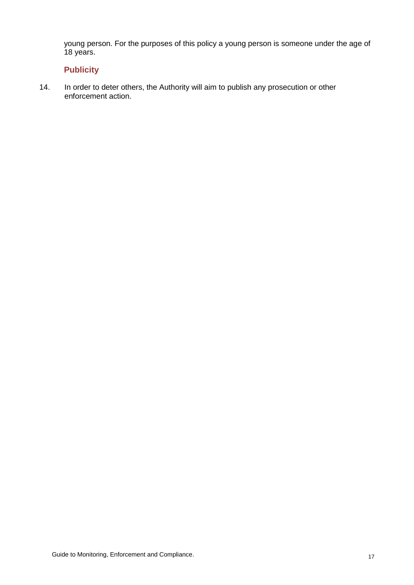young person. For the purposes of this policy a young person is someone under the age of 18 years.

# **Publicity**

14. In order to deter others, the Authority will aim to publish any prosecution or other enforcement action.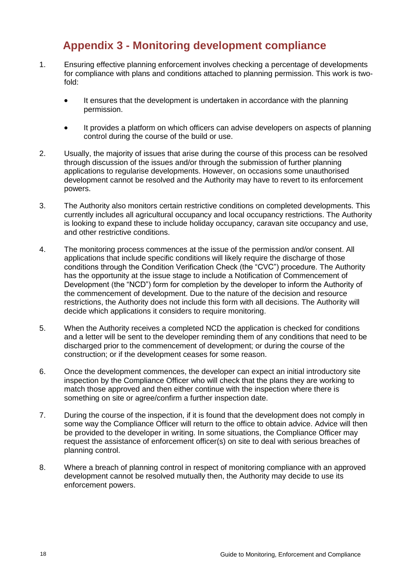# <span id="page-17-0"></span>**Appendix 3 - Monitoring development compliance**

- 1. Ensuring effective planning enforcement involves checking a percentage of developments for compliance with plans and conditions attached to planning permission. This work is twofold:
	- It ensures that the development is undertaken in accordance with the planning permission.
	- It provides a platform on which officers can advise developers on aspects of planning control during the course of the build or use.
- 2. Usually, the majority of issues that arise during the course of this process can be resolved through discussion of the issues and/or through the submission of further planning applications to regularise developments. However, on occasions some unauthorised development cannot be resolved and the Authority may have to revert to its enforcement powers.
- 3. The Authority also monitors certain restrictive conditions on completed developments. This currently includes all agricultural occupancy and local occupancy restrictions. The Authority is looking to expand these to include holiday occupancy, caravan site occupancy and use, and other restrictive conditions.
- 4. The monitoring process commences at the issue of the permission and/or consent. All applications that include specific conditions will likely require the discharge of those conditions through the Condition Verification Check (the "CVC") procedure. The Authority has the opportunity at the issue stage to include a Notification of Commencement of Development (the "NCD") form for completion by the developer to inform the Authority of the commencement of development. Due to the nature of the decision and resource restrictions, the Authority does not include this form with all decisions. The Authority will decide which applications it considers to require monitoring.
- 5. When the Authority receives a completed NCD the application is checked for conditions and a letter will be sent to the developer reminding them of any conditions that need to be discharged prior to the commencement of development; or during the course of the construction; or if the development ceases for some reason.
- 6. Once the development commences, the developer can expect an initial introductory site inspection by the Compliance Officer who will check that the plans they are working to match those approved and then either continue with the inspection where there is something on site or agree/confirm a further inspection date.
- 7. During the course of the inspection, if it is found that the development does not comply in some way the Compliance Officer will return to the office to obtain advice. Advice will then be provided to the developer in writing. In some situations, the Compliance Officer may request the assistance of enforcement officer(s) on site to deal with serious breaches of planning control.
- 8. Where a breach of planning control in respect of monitoring compliance with an approved development cannot be resolved mutually then, the Authority may decide to use its enforcement powers.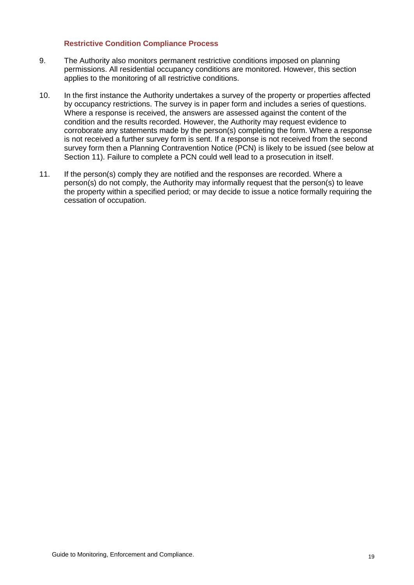#### **Restrictive Condition Compliance Process**

- 9. The Authority also monitors permanent restrictive conditions imposed on planning permissions. All residential occupancy conditions are monitored. However, this section applies to the monitoring of all restrictive conditions.
- 10. In the first instance the Authority undertakes a survey of the property or properties affected by occupancy restrictions. The survey is in paper form and includes a series of questions. Where a response is received, the answers are assessed against the content of the condition and the results recorded. However, the Authority may request evidence to corroborate any statements made by the person(s) completing the form. Where a response is not received a further survey form is sent. If a response is not received from the second survey form then a Planning Contravention Notice (PCN) is likely to be issued (see below at Section 11). Failure to complete a PCN could well lead to a prosecution in itself.
- 11. If the person(s) comply they are notified and the responses are recorded. Where a person(s) do not comply, the Authority may informally request that the person(s) to leave the property within a specified period; or may decide to issue a notice formally requiring the cessation of occupation.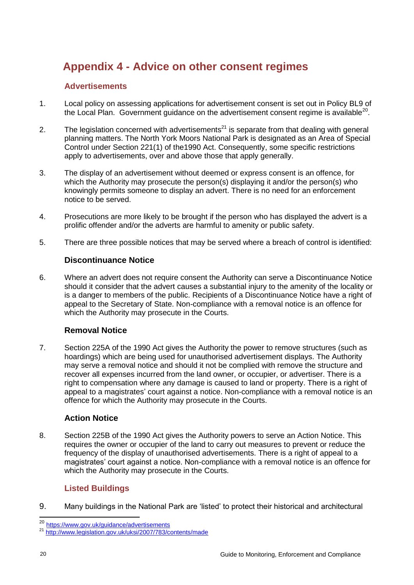# <span id="page-19-0"></span>**Appendix 4 - Advice on other consent regimes**

# **Advertisements**

- 1. Local policy on assessing applications for advertisement consent is set out in Policy BL9 of the Local Plan. Government guidance on the advertisement consent regime is available<sup>20</sup>.
- 2. The legislation concerned with advertisements<sup>21</sup> is separate from that dealing with general planning matters. The North York Moors National Park is designated as an Area of Special Control under Section 221(1) of the1990 Act. Consequently, some specific restrictions apply to advertisements, over and above those that apply generally.
- 3. The display of an advertisement without deemed or express consent is an offence, for which the Authority may prosecute the person(s) displaying it and/or the person(s) who knowingly permits someone to display an advert. There is no need for an enforcement notice to be served.
- 4. Prosecutions are more likely to be brought if the person who has displayed the advert is a prolific offender and/or the adverts are harmful to amenity or public safety.
- 5. There are three possible notices that may be served where a breach of control is identified:

# **Discontinuance Notice**

6. Where an advert does not require consent the Authority can serve a Discontinuance Notice should it consider that the advert causes a substantial injury to the amenity of the locality or is a danger to members of the public. Recipients of a Discontinuance Notice have a right of appeal to the Secretary of State. Non-compliance with a removal notice is an offence for which the Authority may prosecute in the Courts.

# **Removal Notice**

7. Section 225A of the 1990 Act gives the Authority the power to remove structures (such as hoardings) which are being used for unauthorised advertisement displays. The Authority may serve a removal notice and should it not be complied with remove the structure and recover all expenses incurred from the land owner, or occupier, or advertiser. There is a right to compensation where any damage is caused to land or property. There is a right of appeal to a magistrates' court against a notice. Non-compliance with a removal notice is an offence for which the Authority may prosecute in the Courts.

## **Action Notice**

8. Section 225B of the 1990 Act gives the Authority powers to serve an Action Notice. This requires the owner or occupier of the land to carry out measures to prevent or reduce the frequency of the display of unauthorised advertisements. There is a right of appeal to a magistrates' court against a notice. Non-compliance with a removal notice is an offence for which the Authority may prosecute in the Courts.

## **Listed Buildings**

9. Many buildings in the National Park are 'listed' to protect their historical and architectural

 $\overline{a}$ <sup>20</sup> <https://www.gov.uk/guidance/advertisements>

<sup>21</sup> <http://www.legislation.gov.uk/uksi/2007/783/contents/made>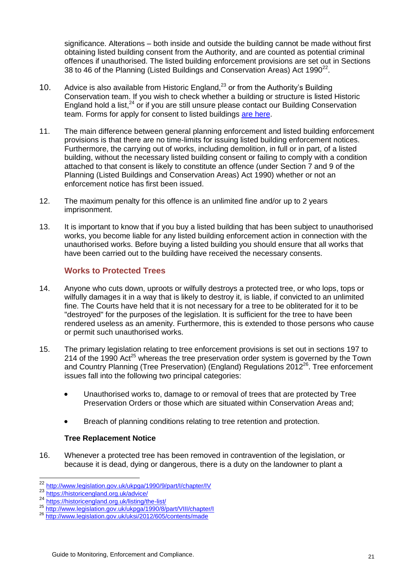significance. Alterations – both inside and outside the building cannot be made without first obtaining listed building consent from the Authority, and are counted as potential criminal offences if unauthorised. The listed building enforcement provisions are set out in Sections 38 to 46 of the Planning (Listed Buildings and Conservation Areas) Act 1990 $^{22}$ .

- 10. Advice is also available from Historic England, $^{23}$  or from the Authority's Building Conservation team. If you wish to check whether a building or structure is listed Historic England hold a list,<sup>24</sup> or if you are still unsure please contact our Building Conservation team. Forms for apply for consent to listed buildings [are here.](https://www.northyorkmoors.org.uk/planning/planning-applications/forms-and-fees)
- 11. The main difference between general planning enforcement and listed building enforcement provisions is that there are no time-limits for issuing listed building enforcement notices. Furthermore, the carrying out of works, including demolition, in full or in part, of a listed building, without the necessary listed building consent or failing to comply with a condition attached to that consent is likely to constitute an offence (under Section 7 and 9 of the Planning (Listed Buildings and Conservation Areas) Act 1990) whether or not an enforcement notice has first been issued.
- 12. The maximum penalty for this offence is an unlimited fine and/or up to 2 years imprisonment.
- 13. It is important to know that if you buy a listed building that has been subject to unauthorised works, you become liable for any listed building enforcement action in connection with the unauthorised works. Before buying a listed building you should ensure that all works that have been carried out to the building have received the necessary consents.

# **Works to Protected Trees**

- 14. Anyone who cuts down, uproots or wilfully destroys a protected tree, or who lops, tops or wilfully damages it in a way that is likely to destroy it, is liable, if convicted to an unlimited fine. The Courts have held that it is not necessary for a tree to be obliterated for it to be "destroyed" for the purposes of the legislation. It is sufficient for the tree to have been rendered useless as an amenity. Furthermore, this is extended to those persons who cause or permit such unauthorised works.
- 15. The primary legislation relating to tree enforcement provisions is set out in sections 197 to 214 of the 1990 Act<sup>25</sup> whereas the tree preservation order system is governed by the Town and Country Planning (Tree Preservation) (England) Regulations 2012<sup>26</sup>. Tree enforcement issues fall into the following two principal categories:
	- Unauthorised works to, damage to or removal of trees that are protected by Tree Preservation Orders or those which are situated within Conservation Areas and;
	- Breach of planning conditions relating to tree retention and protection.

## **Tree Replacement Notice**

16. Whenever a protected tree has been removed in contravention of the legislation, or because it is dead, dying or dangerous, there is a duty on the landowner to plant a

-

<sup>&</sup>lt;sup>22</sup> http://www.legislation.gov.uk/ukpga/1990/9/part/l/chapter/IV

<sup>23</sup> <https://historicengland.org.uk/advice/>

<sup>24</sup> <https://historicengland.org.uk/listing/the-list/>

<sup>&</sup>lt;sup>25</sup> <http://www.legislation.gov.uk/ukpga/1990/8/part/VIII/chapter/I>

<sup>&</sup>lt;sup>26</sup> <http://www.legislation.gov.uk/uksi/2012/605/contents/made>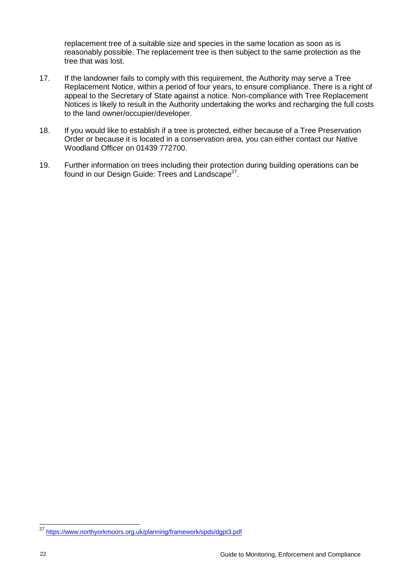replacement tree of a suitable size and species in the same location as soon as is reasonably possible. The replacement tree is then subject to the same protection as the tree that was lost.

- 17. If the landowner fails to comply with this requirement, the Authority may serve a Tree Replacement Notice, within a period of four years, to ensure compliance. There is a right of appeal to the Secretary of State against a notice. Non-compliance with Tree Replacement Notices is likely to result in the Authority undertaking the works and recharging the full costs to the land owner/occupier/developer.
- 18. If you would like to establish if a tree is protected, either because of a Tree Preservation Order or because it is located in a conservation area, you can either contact our Native Woodland Officer on 01439 772700.
- 19. Further information on trees including their protection during building operations can be found in our Design Guide: Trees and Landscape<sup>27</sup>.

-

<sup>&</sup>lt;sup>27</sup> <https://www.northyorkmoors.org.uk/planning/framework/spds/dgpt3.pdf>